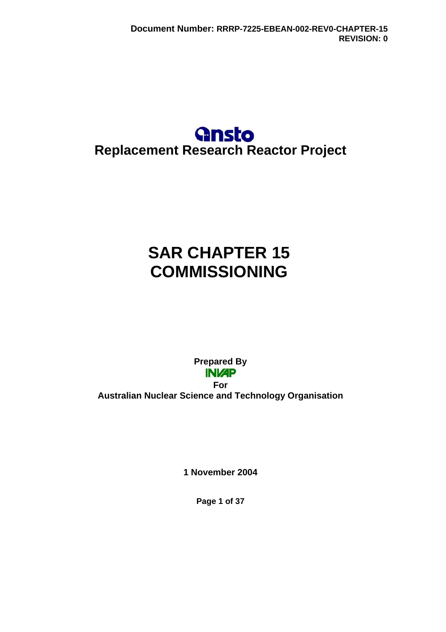## **Gnsto Replacement Research Reactor Project**

# **SAR CHAPTER 15 COMMISSIONING**

**Prepared By INVAP For Australian Nuclear Science and Technology Organisation** 

**1 November 2004** 

**Page 1 of 37**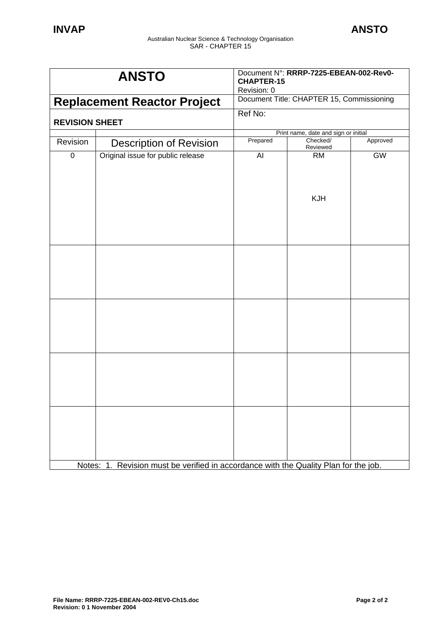| <b>ANSTO</b>                       |                                                                                      | Document N°: RRRP-7225-EBEAN-002-Rev0-<br><b>CHAPTER-15</b><br>Revision: 0 |                         |           |
|------------------------------------|--------------------------------------------------------------------------------------|----------------------------------------------------------------------------|-------------------------|-----------|
| <b>Replacement Reactor Project</b> |                                                                                      | Document Title: CHAPTER 15, Commissioning                                  |                         |           |
| <b>REVISION SHEET</b>              |                                                                                      | Ref No:                                                                    |                         |           |
|                                    |                                                                                      | Print name, date and sign or initial                                       |                         |           |
| Revision                           | <b>Description of Revision</b>                                                       | Prepared                                                                   | Checked/<br>Reviewed    | Approved  |
| $\mathbf 0$                        | Original issue for public release                                                    | AI                                                                         | <b>RM</b><br><b>KJH</b> | <b>GW</b> |
|                                    |                                                                                      |                                                                            |                         |           |
|                                    | Notes: 1. Revision must be verified in accordance with the Quality Plan for the job. |                                                                            |                         |           |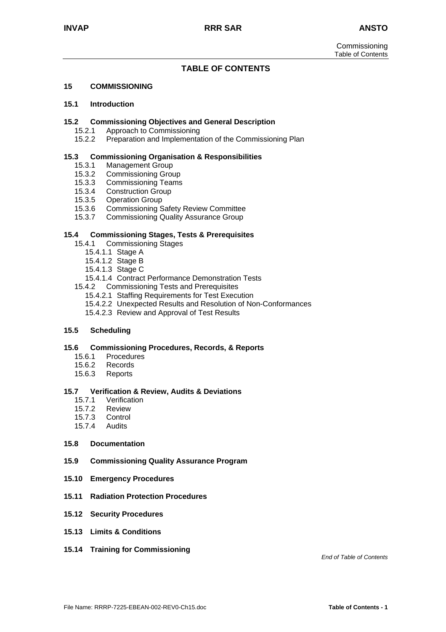#### **TABLE OF CONTENTS**

#### **15 COMMISSIONING**

#### **15.1 Introduction**

#### **15.2 Commissioning Objectives and General Description**

- 15.2.1 Approach to Commissioning
- 15.2.2 Preparation and Implementation of the Commissioning Plan

#### **15.3 Commissioning Organisation & Responsibilities**

- 
- 15.3.1 Management Group<br>15.3.2 Commissioning Grou Commissioning Group
- 15.3.3 Commissioning Teams
- 15.3.4 Construction Group
- 15.3.5 Operation Group
- 15.3.6 Commissioning Safety Review Committee
- 15.3.7 Commissioning Quality Assurance Group

#### **15.4 Commissioning Stages, Tests & Prerequisites**

- 15.4.1 Commissioning Stages
	- 15.4.1.1 Stage A
	- 15.4.1.2 Stage B
	- 15.4.1.3 Stage C
	- 15.4.1.4 Contract Performance Demonstration Tests
- 15.4.2 Commissioning Tests and Prerequisites
	- 15.4.2.1 Staffing Requirements for Test Execution
	- 15.4.2.2 Unexpected Results and Resolution of Non-Conformances
	- 15.4.2.3 Review and Approval of Test Results

#### **15.5 Scheduling**

#### **15.6 Commissioning Procedures, Records, & Reports**

- 15.6.1 Procedures
- 15.6.2 Records
- 15.6.3 Reports

#### **15.7 Verification & Review, Audits & Deviations**

- 15.7.1 Verification
- 15.7.2 Review
- 15.7.3 Control
- 15.7.4 Audits

#### **15.8 Documentation**

- **15.9 Commissioning Quality Assurance Program**
- **15.10 Emergency Procedures**
- **15.11 Radiation Protection Procedures**
- **15.12 Security Procedures**
- **15.13 Limits & Conditions**
- **15.14 Training for Commissioning**

*End of Table of Contents*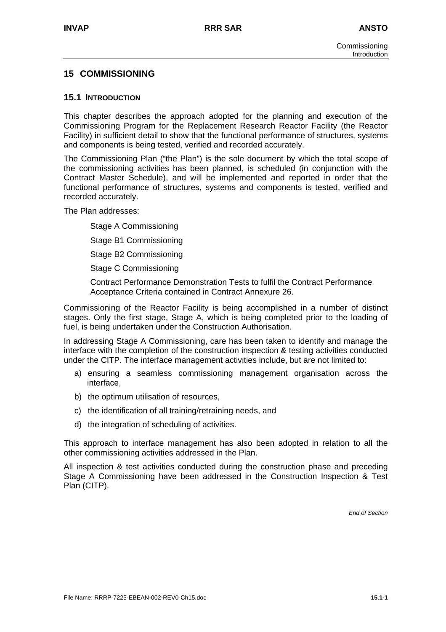## **15 COMMISSIONING**

#### **15.1 INTRODUCTION**

This chapter describes the approach adopted for the planning and execution of the Commissioning Program for the Replacement Research Reactor Facility (the Reactor Facility) in sufficient detail to show that the functional performance of structures, systems and components is being tested, verified and recorded accurately.

The Commissioning Plan ("the Plan") is the sole document by which the total scope of the commissioning activities has been planned, is scheduled (in conjunction with the Contract Master Schedule), and will be implemented and reported in order that the functional performance of structures, systems and components is tested, verified and recorded accurately.

The Plan addresses:

Stage A Commissioning

Stage B1 Commissioning

Stage B2 Commissioning

Stage C Commissioning

Contract Performance Demonstration Tests to fulfil the Contract Performance Acceptance Criteria contained in Contract Annexure 26.

Commissioning of the Reactor Facility is being accomplished in a number of distinct stages. Only the first stage, Stage A, which is being completed prior to the loading of fuel, is being undertaken under the Construction Authorisation.

In addressing Stage A Commissioning, care has been taken to identify and manage the interface with the completion of the construction inspection & testing activities conducted under the CITP. The interface management activities include, but are not limited to:

- a) ensuring a seamless commissioning management organisation across the interface,
- b) the optimum utilisation of resources,
- c) the identification of all training/retraining needs, and
- d) the integration of scheduling of activities.

This approach to interface management has also been adopted in relation to all the other commissioning activities addressed in the Plan.

All inspection & test activities conducted during the construction phase and preceding Stage A Commissioning have been addressed in the Construction Inspection & Test Plan (CITP).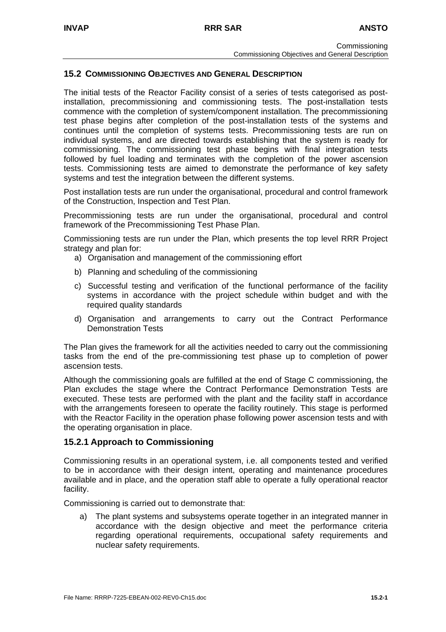## **15.2 COMMISSIONING OBJECTIVES AND GENERAL DESCRIPTION**

The initial tests of the Reactor Facility consist of a series of tests categorised as postinstallation, precommissioning and commissioning tests. The post-installation tests commence with the completion of system/component installation. The precommissioning test phase begins after completion of the post-installation tests of the systems and continues until the completion of systems tests. Precommissioning tests are run on individual systems, and are directed towards establishing that the system is ready for commissioning. The commissioning test phase begins with final integration tests followed by fuel loading and terminates with the completion of the power ascension tests. Commissioning tests are aimed to demonstrate the performance of key safety systems and test the integration between the different systems.

Post installation tests are run under the organisational, procedural and control framework of the Construction, Inspection and Test Plan.

Precommissioning tests are run under the organisational, procedural and control framework of the Precommissioning Test Phase Plan.

Commissioning tests are run under the Plan, which presents the top level RRR Project strategy and plan for:

- a) Organisation and management of the commissioning effort
- b) Planning and scheduling of the commissioning
- c) Successful testing and verification of the functional performance of the facility systems in accordance with the project schedule within budget and with the required quality standards
- d) Organisation and arrangements to carry out the Contract Performance Demonstration Tests

The Plan gives the framework for all the activities needed to carry out the commissioning tasks from the end of the pre-commissioning test phase up to completion of power ascension tests.

Although the commissioning goals are fulfilled at the end of Stage C commissioning, the Plan excludes the stage where the Contract Performance Demonstration Tests are executed. These tests are performed with the plant and the facility staff in accordance with the arrangements foreseen to operate the facility routinely. This stage is performed with the Reactor Facility in the operation phase following power ascension tests and with the operating organisation in place.

## **15.2.1 Approach to Commissioning**

Commissioning results in an operational system, i.e. all components tested and verified to be in accordance with their design intent, operating and maintenance procedures available and in place, and the operation staff able to operate a fully operational reactor facility.

Commissioning is carried out to demonstrate that:

a) The plant systems and subsystems operate together in an integrated manner in accordance with the design objective and meet the performance criteria regarding operational requirements, occupational safety requirements and nuclear safety requirements.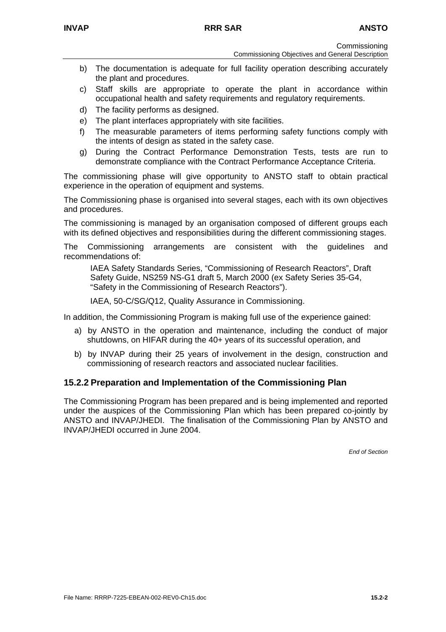**Commissioning** 

- b) The documentation is adequate for full facility operation describing accurately the plant and procedures.
- c) Staff skills are appropriate to operate the plant in accordance within occupational health and safety requirements and regulatory requirements.
- d) The facility performs as designed.
- e) The plant interfaces appropriately with site facilities.
- f) The measurable parameters of items performing safety functions comply with the intents of design as stated in the safety case.
- g) During the Contract Performance Demonstration Tests, tests are run to demonstrate compliance with the Contract Performance Acceptance Criteria.

The commissioning phase will give opportunity to ANSTO staff to obtain practical experience in the operation of equipment and systems.

The Commissioning phase is organised into several stages, each with its own objectives and procedures.

The commissioning is managed by an organisation composed of different groups each with its defined objectives and responsibilities during the different commissioning stages.

The Commissioning arrangements are consistent with the guidelines and recommendations of:

IAEA Safety Standards Series, "Commissioning of Research Reactors", Draft Safety Guide, NS259 NS-G1 draft 5, March 2000 (ex Safety Series 35-G4, "Safety in the Commissioning of Research Reactors").

IAEA, 50-C/SG/Q12, Quality Assurance in Commissioning.

In addition, the Commissioning Program is making full use of the experience gained:

- a) by ANSTO in the operation and maintenance, including the conduct of major shutdowns, on HIFAR during the 40+ years of its successful operation, and
- b) by INVAP during their 25 years of involvement in the design, construction and commissioning of research reactors and associated nuclear facilities.

## **15.2.2 Preparation and Implementation of the Commissioning Plan**

The Commissioning Program has been prepared and is being implemented and reported under the auspices of the Commissioning Plan which has been prepared co-jointly by ANSTO and INVAP/JHEDI. The finalisation of the Commissioning Plan by ANSTO and INVAP/JHEDI occurred in June 2004.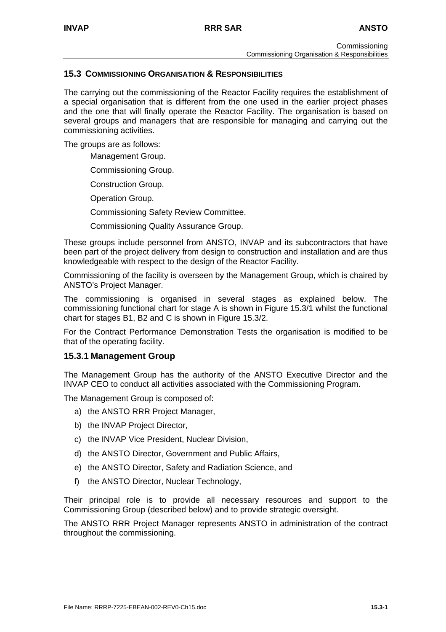## **15.3 COMMISSIONING ORGANISATION & RESPONSIBILITIES**

The carrying out the commissioning of the Reactor Facility requires the establishment of a special organisation that is different from the one used in the earlier project phases and the one that will finally operate the Reactor Facility. The organisation is based on several groups and managers that are responsible for managing and carrying out the commissioning activities.

The groups are as follows:

Management Group.

Commissioning Group.

Construction Group.

Operation Group.

Commissioning Safety Review Committee.

Commissioning Quality Assurance Group.

These groups include personnel from ANSTO, INVAP and its subcontractors that have been part of the project delivery from design to construction and installation and are thus knowledgeable with respect to the design of the Reactor Facility.

Commissioning of the facility is overseen by the Management Group, which is chaired by ANSTO's Project Manager.

The commissioning is organised in several stages as explained below. The commissioning functional chart for stage A is shown in Figure 15.3/1 whilst the functional chart for stages B1, B2 and C is shown in Figure 15.3/2.

For the Contract Performance Demonstration Tests the organisation is modified to be that of the operating facility.

#### **15.3.1 Management Group**

The Management Group has the authority of the ANSTO Executive Director and the INVAP CEO to conduct all activities associated with the Commissioning Program.

The Management Group is composed of:

- a) the ANSTO RRR Project Manager,
- b) the INVAP Project Director,
- c) the INVAP Vice President, Nuclear Division,
- d) the ANSTO Director, Government and Public Affairs,
- e) the ANSTO Director, Safety and Radiation Science, and
- f) the ANSTO Director, Nuclear Technology,

Their principal role is to provide all necessary resources and support to the Commissioning Group (described below) and to provide strategic oversight.

The ANSTO RRR Project Manager represents ANSTO in administration of the contract throughout the commissioning.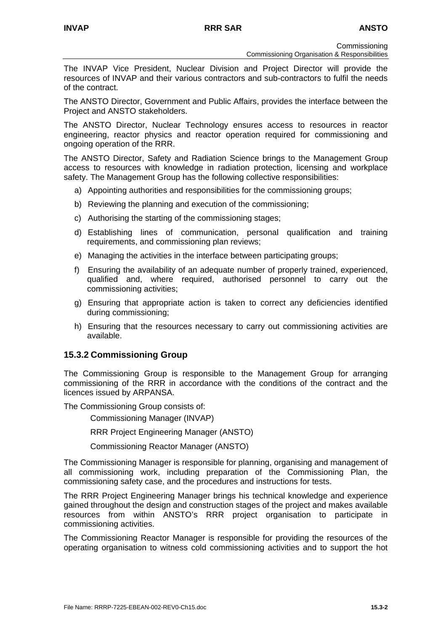**Commissioning** 

Commissioning Organisation & Responsibilities

The INVAP Vice President, Nuclear Division and Project Director will provide the resources of INVAP and their various contractors and sub-contractors to fulfil the needs of the contract.

The ANSTO Director, Government and Public Affairs, provides the interface between the Project and ANSTO stakeholders.

The ANSTO Director, Nuclear Technology ensures access to resources in reactor engineering, reactor physics and reactor operation required for commissioning and ongoing operation of the RRR.

The ANSTO Director, Safety and Radiation Science brings to the Management Group access to resources with knowledge in radiation protection, licensing and workplace safety. The Management Group has the following collective responsibilities:

- a) Appointing authorities and responsibilities for the commissioning groups;
- b) Reviewing the planning and execution of the commissioning;
- c) Authorising the starting of the commissioning stages;
- d) Establishing lines of communication, personal qualification and training requirements, and commissioning plan reviews;
- e) Managing the activities in the interface between participating groups;
- f) Ensuring the availability of an adequate number of properly trained, experienced, qualified and, where required, authorised personnel to carry out the commissioning activities;
- g) Ensuring that appropriate action is taken to correct any deficiencies identified during commissioning;
- h) Ensuring that the resources necessary to carry out commissioning activities are available.

## **15.3.2 Commissioning Group**

The Commissioning Group is responsible to the Management Group for arranging commissioning of the RRR in accordance with the conditions of the contract and the licences issued by ARPANSA.

The Commissioning Group consists of:

Commissioning Manager (INVAP)

RRR Project Engineering Manager (ANSTO)

Commissioning Reactor Manager (ANSTO)

The Commissioning Manager is responsible for planning, organising and management of all commissioning work, including preparation of the Commissioning Plan, the commissioning safety case, and the procedures and instructions for tests.

The RRR Project Engineering Manager brings his technical knowledge and experience gained throughout the design and construction stages of the project and makes available resources from within ANSTO's RRR project organisation to participate in commissioning activities.

The Commissioning Reactor Manager is responsible for providing the resources of the operating organisation to witness cold commissioning activities and to support the hot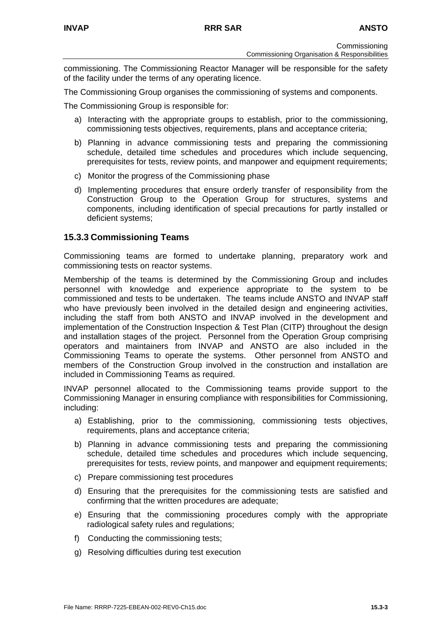commissioning. The Commissioning Reactor Manager will be responsible for the safety of the facility under the terms of any operating licence.

The Commissioning Group organises the commissioning of systems and components.

The Commissioning Group is responsible for:

- a) Interacting with the appropriate groups to establish, prior to the commissioning, commissioning tests objectives, requirements, plans and acceptance criteria;
- b) Planning in advance commissioning tests and preparing the commissioning schedule, detailed time schedules and procedures which include sequencing, prerequisites for tests, review points, and manpower and equipment requirements;
- c) Monitor the progress of the Commissioning phase
- d) Implementing procedures that ensure orderly transfer of responsibility from the Construction Group to the Operation Group for structures, systems and components, including identification of special precautions for partly installed or deficient systems;

#### **15.3.3 Commissioning Teams**

Commissioning teams are formed to undertake planning, preparatory work and commissioning tests on reactor systems.

Membership of the teams is determined by the Commissioning Group and includes personnel with knowledge and experience appropriate to the system to be commissioned and tests to be undertaken. The teams include ANSTO and INVAP staff who have previously been involved in the detailed design and engineering activities, including the staff from both ANSTO and INVAP involved in the development and implementation of the Construction Inspection & Test Plan (CITP) throughout the design and installation stages of the project. Personnel from the Operation Group comprising operators and maintainers from INVAP and ANSTO are also included in the Commissioning Teams to operate the systems. Other personnel from ANSTO and members of the Construction Group involved in the construction and installation are included in Commissioning Teams as required.

INVAP personnel allocated to the Commissioning teams provide support to the Commissioning Manager in ensuring compliance with responsibilities for Commissioning, including:

- a) Establishing, prior to the commissioning, commissioning tests objectives, requirements, plans and acceptance criteria;
- b) Planning in advance commissioning tests and preparing the commissioning schedule, detailed time schedules and procedures which include sequencing, prerequisites for tests, review points, and manpower and equipment requirements;
- c) Prepare commissioning test procedures
- d) Ensuring that the prerequisites for the commissioning tests are satisfied and confirming that the written procedures are adequate;
- e) Ensuring that the commissioning procedures comply with the appropriate radiological safety rules and regulations;
- f) Conducting the commissioning tests;
- g) Resolving difficulties during test execution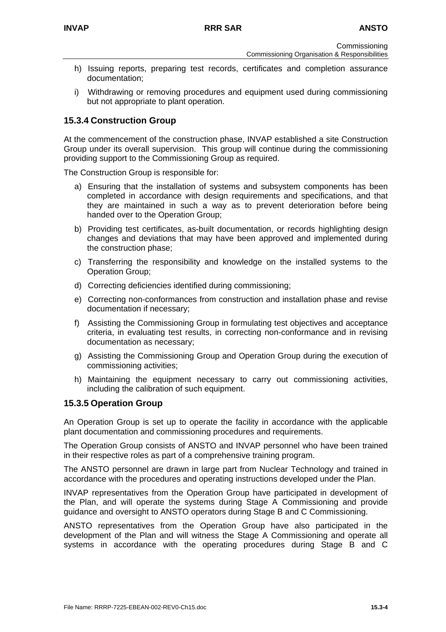- h) Issuing reports, preparing test records, certificates and completion assurance documentation;
- i) Withdrawing or removing procedures and equipment used during commissioning but not appropriate to plant operation.

## **15.3.4 Construction Group**

At the commencement of the construction phase, INVAP established a site Construction Group under its overall supervision. This group will continue during the commissioning providing support to the Commissioning Group as required.

The Construction Group is responsible for:

- a) Ensuring that the installation of systems and subsystem components has been completed in accordance with design requirements and specifications, and that they are maintained in such a way as to prevent deterioration before being handed over to the Operation Group;
- b) Providing test certificates, as-built documentation, or records highlighting design changes and deviations that may have been approved and implemented during the construction phase;
- c) Transferring the responsibility and knowledge on the installed systems to the Operation Group;
- d) Correcting deficiencies identified during commissioning;
- e) Correcting non-conformances from construction and installation phase and revise documentation if necessary;
- f) Assisting the Commissioning Group in formulating test objectives and acceptance criteria, in evaluating test results, in correcting non-conformance and in revising documentation as necessary;
- g) Assisting the Commissioning Group and Operation Group during the execution of commissioning activities;
- h) Maintaining the equipment necessary to carry out commissioning activities, including the calibration of such equipment.

## **15.3.5 Operation Group**

An Operation Group is set up to operate the facility in accordance with the applicable plant documentation and commissioning procedures and requirements.

The Operation Group consists of ANSTO and INVAP personnel who have been trained in their respective roles as part of a comprehensive training program.

The ANSTO personnel are drawn in large part from Nuclear Technology and trained in accordance with the procedures and operating instructions developed under the Plan.

INVAP representatives from the Operation Group have participated in development of the Plan, and will operate the systems during Stage A Commissioning and provide guidance and oversight to ANSTO operators during Stage B and C Commissioning.

ANSTO representatives from the Operation Group have also participated in the development of the Plan and will witness the Stage A Commissioning and operate all systems in accordance with the operating procedures during Stage B and C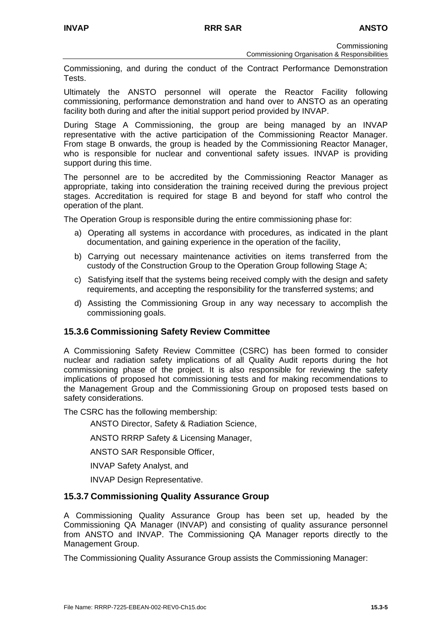**Commissioning** Commissioning Organisation & Responsibilities

Commissioning, and during the conduct of the Contract Performance Demonstration Tests.

Ultimately the ANSTO personnel will operate the Reactor Facility following commissioning, performance demonstration and hand over to ANSTO as an operating facility both during and after the initial support period provided by INVAP.

During Stage A Commissioning, the group are being managed by an INVAP representative with the active participation of the Commissioning Reactor Manager. From stage B onwards, the group is headed by the Commissioning Reactor Manager, who is responsible for nuclear and conventional safety issues. INVAP is providing support during this time.

The personnel are to be accredited by the Commissioning Reactor Manager as appropriate, taking into consideration the training received during the previous project stages. Accreditation is required for stage B and beyond for staff who control the operation of the plant.

The Operation Group is responsible during the entire commissioning phase for:

- a) Operating all systems in accordance with procedures, as indicated in the plant documentation, and gaining experience in the operation of the facility,
- b) Carrying out necessary maintenance activities on items transferred from the custody of the Construction Group to the Operation Group following Stage A;
- c) Satisfying itself that the systems being received comply with the design and safety requirements, and accepting the responsibility for the transferred systems; and
- d) Assisting the Commissioning Group in any way necessary to accomplish the commissioning goals.

## **15.3.6 Commissioning Safety Review Committee**

A Commissioning Safety Review Committee (CSRC) has been formed to consider nuclear and radiation safety implications of all Quality Audit reports during the hot commissioning phase of the project. It is also responsible for reviewing the safety implications of proposed hot commissioning tests and for making recommendations to the Management Group and the Commissioning Group on proposed tests based on safety considerations.

The CSRC has the following membership:

ANSTO Director, Safety & Radiation Science,

ANSTO RRRP Safety & Licensing Manager,

ANSTO SAR Responsible Officer,

INVAP Safety Analyst, and

INVAP Design Representative.

## **15.3.7 Commissioning Quality Assurance Group**

A Commissioning Quality Assurance Group has been set up, headed by the Commissioning QA Manager (INVAP) and consisting of quality assurance personnel from ANSTO and INVAP. The Commissioning QA Manager reports directly to the Management Group.

The Commissioning Quality Assurance Group assists the Commissioning Manager: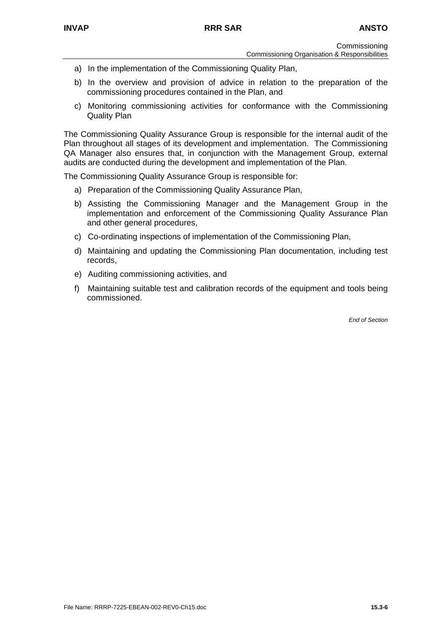- Commissioning Commissioning Organisation & Responsibilities
- a) In the implementation of the Commissioning Quality Plan,
- b) In the overview and provision of advice in relation to the preparation of the commissioning procedures contained in the Plan, and
- c) Monitoring commissioning activities for conformance with the Commissioning Quality Plan

The Commissioning Quality Assurance Group is responsible for the internal audit of the Plan throughout all stages of its development and implementation. The Commissioning QA Manager also ensures that, in conjunction with the Management Group, external audits are conducted during the development and implementation of the Plan.

The Commissioning Quality Assurance Group is responsible for:

- a) Preparation of the Commissioning Quality Assurance Plan,
- b) Assisting the Commissioning Manager and the Management Group in the implementation and enforcement of the Commissioning Quality Assurance Plan and other general procedures,
- c) Co-ordinating inspections of implementation of the Commissioning Plan,
- d) Maintaining and updating the Commissioning Plan documentation, including test records,
- e) Auditing commissioning activities, and
- f) Maintaining suitable test and calibration records of the equipment and tools being commissioned.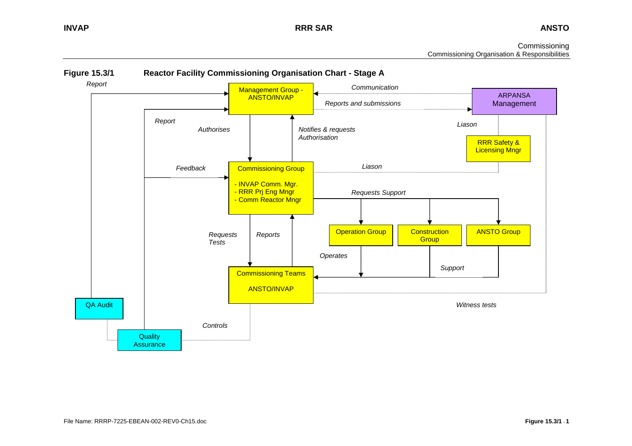**INVAP RRR SAR**

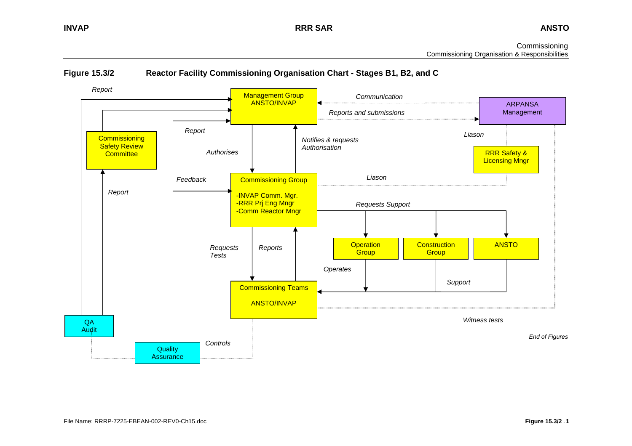

#### **Figure 15.3/2 Reactor Facility Commissioning Organisation Chart - Stages B1, B2, and C**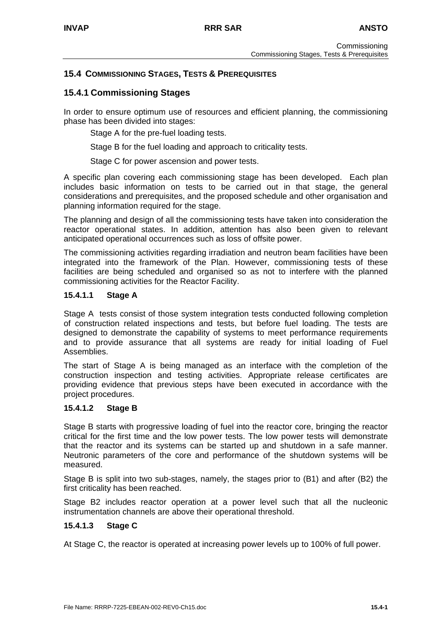## **15.4 COMMISSIONING STAGES, TESTS & PREREQUISITES**

## **15.4.1 Commissioning Stages**

In order to ensure optimum use of resources and efficient planning, the commissioning phase has been divided into stages:

Stage A for the pre-fuel loading tests.

Stage B for the fuel loading and approach to criticality tests.

Stage C for power ascension and power tests.

A specific plan covering each commissioning stage has been developed. Each plan includes basic information on tests to be carried out in that stage, the general considerations and prerequisites, and the proposed schedule and other organisation and planning information required for the stage.

The planning and design of all the commissioning tests have taken into consideration the reactor operational states. In addition, attention has also been given to relevant anticipated operational occurrences such as loss of offsite power.

The commissioning activities regarding irradiation and neutron beam facilities have been integrated into the framework of the Plan. However, commissioning tests of these facilities are being scheduled and organised so as not to interfere with the planned commissioning activities for the Reactor Facility.

#### **15.4.1.1 Stage A**

Stage A tests consist of those system integration tests conducted following completion of construction related inspections and tests, but before fuel loading. The tests are designed to demonstrate the capability of systems to meet performance requirements and to provide assurance that all systems are ready for initial loading of Fuel Assemblies.

The start of Stage A is being managed as an interface with the completion of the construction inspection and testing activities. Appropriate release certificates are providing evidence that previous steps have been executed in accordance with the project procedures.

#### **15.4.1.2 Stage B**

Stage B starts with progressive loading of fuel into the reactor core, bringing the reactor critical for the first time and the low power tests. The low power tests will demonstrate that the reactor and its systems can be started up and shutdown in a safe manner. Neutronic parameters of the core and performance of the shutdown systems will be measured.

Stage B is split into two sub-stages, namely, the stages prior to (B1) and after (B2) the first criticality has been reached.

Stage B2 includes reactor operation at a power level such that all the nucleonic instrumentation channels are above their operational threshold.

#### **15.4.1.3 Stage C**

At Stage C, the reactor is operated at increasing power levels up to 100% of full power.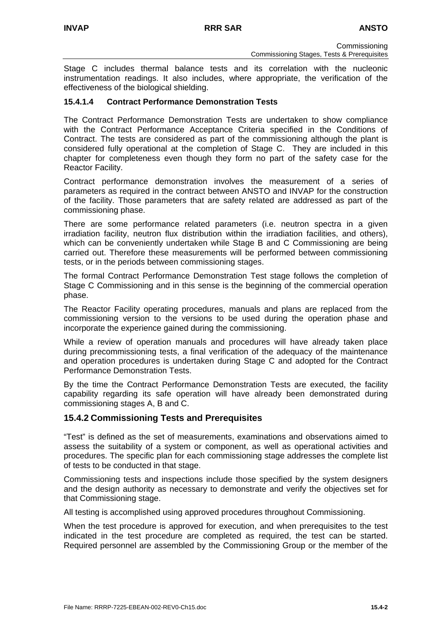Stage C includes thermal balance tests and its correlation with the nucleonic instrumentation readings. It also includes, where appropriate, the verification of the effectiveness of the biological shielding.

## **15.4.1.4 Contract Performance Demonstration Tests**

The Contract Performance Demonstration Tests are undertaken to show compliance with the Contract Performance Acceptance Criteria specified in the Conditions of Contract. The tests are considered as part of the commissioning although the plant is considered fully operational at the completion of Stage C. They are included in this chapter for completeness even though they form no part of the safety case for the Reactor Facility.

Contract performance demonstration involves the measurement of a series of parameters as required in the contract between ANSTO and INVAP for the construction of the facility. Those parameters that are safety related are addressed as part of the commissioning phase.

There are some performance related parameters (i.e. neutron spectra in a given irradiation facility, neutron flux distribution within the irradiation facilities, and others), which can be conveniently undertaken while Stage B and C Commissioning are being carried out. Therefore these measurements will be performed between commissioning tests, or in the periods between commissioning stages.

The formal Contract Performance Demonstration Test stage follows the completion of Stage C Commissioning and in this sense is the beginning of the commercial operation phase.

The Reactor Facility operating procedures, manuals and plans are replaced from the commissioning version to the versions to be used during the operation phase and incorporate the experience gained during the commissioning.

While a review of operation manuals and procedures will have already taken place during precommissioning tests, a final verification of the adequacy of the maintenance and operation procedures is undertaken during Stage C and adopted for the Contract Performance Demonstration Tests.

By the time the Contract Performance Demonstration Tests are executed, the facility capability regarding its safe operation will have already been demonstrated during commissioning stages A, B and C.

## **15.4.2 Commissioning Tests and Prerequisites**

"Test" is defined as the set of measurements, examinations and observations aimed to assess the suitability of a system or component, as well as operational activities and procedures. The specific plan for each commissioning stage addresses the complete list of tests to be conducted in that stage.

Commissioning tests and inspections include those specified by the system designers and the design authority as necessary to demonstrate and verify the objectives set for that Commissioning stage.

All testing is accomplished using approved procedures throughout Commissioning.

When the test procedure is approved for execution, and when prerequisites to the test indicated in the test procedure are completed as required, the test can be started. Required personnel are assembled by the Commissioning Group or the member of the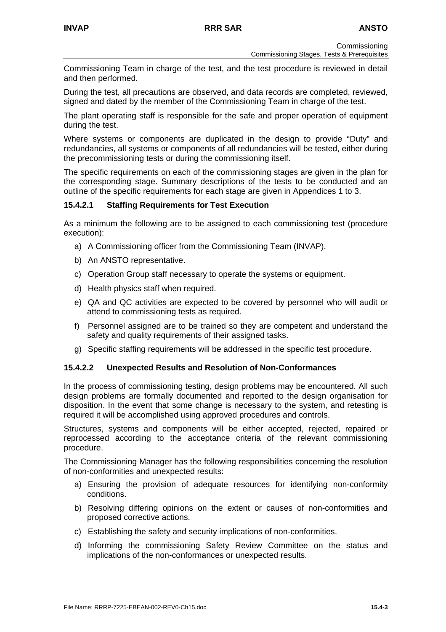Commissioning Team in charge of the test, and the test procedure is reviewed in detail and then performed.

During the test, all precautions are observed, and data records are completed, reviewed, signed and dated by the member of the Commissioning Team in charge of the test.

The plant operating staff is responsible for the safe and proper operation of equipment during the test.

Where systems or components are duplicated in the design to provide "Duty" and redundancies, all systems or components of all redundancies will be tested, either during the precommissioning tests or during the commissioning itself.

The specific requirements on each of the commissioning stages are given in the plan for the corresponding stage. Summary descriptions of the tests to be conducted and an outline of the specific requirements for each stage are given in Appendices 1 to 3.

## **15.4.2.1 Staffing Requirements for Test Execution**

As a minimum the following are to be assigned to each commissioning test (procedure execution):

- a) A Commissioning officer from the Commissioning Team (INVAP).
- b) An ANSTO representative.
- c) Operation Group staff necessary to operate the systems or equipment.
- d) Health physics staff when required.
- e) QA and QC activities are expected to be covered by personnel who will audit or attend to commissioning tests as required.
- f) Personnel assigned are to be trained so they are competent and understand the safety and quality requirements of their assigned tasks.
- g) Specific staffing requirements will be addressed in the specific test procedure.

#### **15.4.2.2 Unexpected Results and Resolution of Non-Conformances**

In the process of commissioning testing, design problems may be encountered. All such design problems are formally documented and reported to the design organisation for disposition. In the event that some change is necessary to the system, and retesting is required it will be accomplished using approved procedures and controls.

Structures, systems and components will be either accepted, rejected, repaired or reprocessed according to the acceptance criteria of the relevant commissioning procedure.

The Commissioning Manager has the following responsibilities concerning the resolution of non-conformities and unexpected results:

- a) Ensuring the provision of adequate resources for identifying non-conformity conditions.
- b) Resolving differing opinions on the extent or causes of non-conformities and proposed corrective actions.
- c) Establishing the safety and security implications of non-conformities.
- d) Informing the commissioning Safety Review Committee on the status and implications of the non-conformances or unexpected results.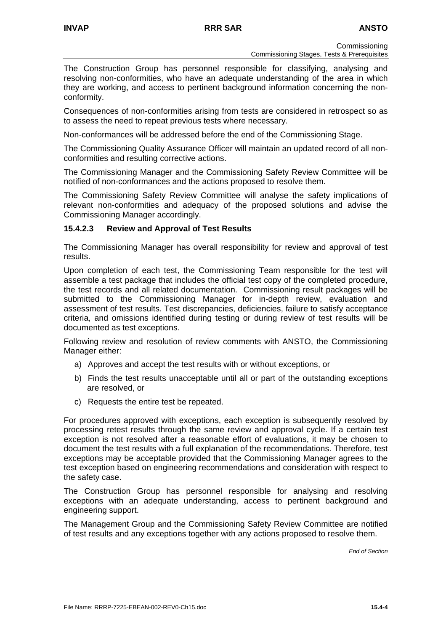The Construction Group has personnel responsible for classifying, analysing and resolving non-conformities, who have an adequate understanding of the area in which they are working, and access to pertinent background information concerning the nonconformity.

Consequences of non-conformities arising from tests are considered in retrospect so as to assess the need to repeat previous tests where necessary.

Non-conformances will be addressed before the end of the Commissioning Stage.

The Commissioning Quality Assurance Officer will maintain an updated record of all nonconformities and resulting corrective actions.

The Commissioning Manager and the Commissioning Safety Review Committee will be notified of non-conformances and the actions proposed to resolve them.

The Commissioning Safety Review Committee will analyse the safety implications of relevant non-conformities and adequacy of the proposed solutions and advise the Commissioning Manager accordingly.

#### **15.4.2.3 Review and Approval of Test Results**

The Commissioning Manager has overall responsibility for review and approval of test results.

Upon completion of each test, the Commissioning Team responsible for the test will assemble a test package that includes the official test copy of the completed procedure, the test records and all related documentation. Commissioning result packages will be submitted to the Commissioning Manager for in-depth review, evaluation and assessment of test results. Test discrepancies, deficiencies, failure to satisfy acceptance criteria, and omissions identified during testing or during review of test results will be documented as test exceptions.

Following review and resolution of review comments with ANSTO, the Commissioning Manager either:

- a) Approves and accept the test results with or without exceptions, or
- b) Finds the test results unacceptable until all or part of the outstanding exceptions are resolved, or
- c) Requests the entire test be repeated.

For procedures approved with exceptions, each exception is subsequently resolved by processing retest results through the same review and approval cycle. If a certain test exception is not resolved after a reasonable effort of evaluations, it may be chosen to document the test results with a full explanation of the recommendations. Therefore, test exceptions may be acceptable provided that the Commissioning Manager agrees to the test exception based on engineering recommendations and consideration with respect to the safety case.

The Construction Group has personnel responsible for analysing and resolving exceptions with an adequate understanding, access to pertinent background and engineering support.

The Management Group and the Commissioning Safety Review Committee are notified of test results and any exceptions together with any actions proposed to resolve them.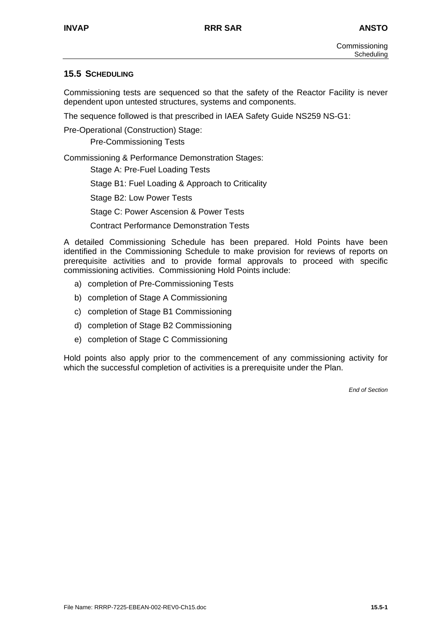## **15.5 SCHEDULING**

Commissioning tests are sequenced so that the safety of the Reactor Facility is never dependent upon untested structures, systems and components.

The sequence followed is that prescribed in IAEA Safety Guide NS259 NS-G1:

Pre-Operational (Construction) Stage:

Pre-Commissioning Tests

Commissioning & Performance Demonstration Stages:

Stage A: Pre-Fuel Loading Tests

Stage B1: Fuel Loading & Approach to Criticality

Stage B2: Low Power Tests

Stage C: Power Ascension & Power Tests

Contract Performance Demonstration Tests

A detailed Commissioning Schedule has been prepared. Hold Points have been identified in the Commissioning Schedule to make provision for reviews of reports on prerequisite activities and to provide formal approvals to proceed with specific commissioning activities. Commissioning Hold Points include:

- a) completion of Pre-Commissioning Tests
- b) completion of Stage A Commissioning
- c) completion of Stage B1 Commissioning
- d) completion of Stage B2 Commissioning
- e) completion of Stage C Commissioning

Hold points also apply prior to the commencement of any commissioning activity for which the successful completion of activities is a prerequisite under the Plan.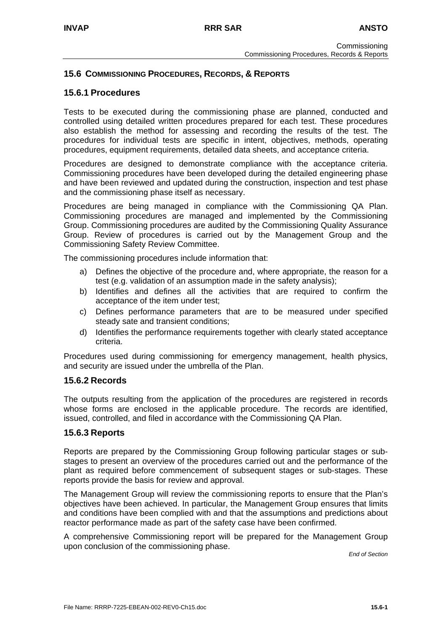## **15.6 COMMISSIONING PROCEDURES, RECORDS, & REPORTS**

## **15.6.1 Procedures**

Tests to be executed during the commissioning phase are planned, conducted and controlled using detailed written procedures prepared for each test. These procedures also establish the method for assessing and recording the results of the test. The procedures for individual tests are specific in intent, objectives, methods, operating procedures, equipment requirements, detailed data sheets, and acceptance criteria.

Procedures are designed to demonstrate compliance with the acceptance criteria. Commissioning procedures have been developed during the detailed engineering phase and have been reviewed and updated during the construction, inspection and test phase and the commissioning phase itself as necessary.

Procedures are being managed in compliance with the Commissioning QA Plan. Commissioning procedures are managed and implemented by the Commissioning Group. Commissioning procedures are audited by the Commissioning Quality Assurance Group. Review of procedures is carried out by the Management Group and the Commissioning Safety Review Committee.

The commissioning procedures include information that:

- a) Defines the objective of the procedure and, where appropriate, the reason for a test (e.g. validation of an assumption made in the safety analysis);
- b) Identifies and defines all the activities that are required to confirm the acceptance of the item under test;
- c) Defines performance parameters that are to be measured under specified steady sate and transient conditions;
- d) Identifies the performance requirements together with clearly stated acceptance criteria.

Procedures used during commissioning for emergency management, health physics, and security are issued under the umbrella of the Plan.

#### **15.6.2 Records**

The outputs resulting from the application of the procedures are registered in records whose forms are enclosed in the applicable procedure. The records are identified, issued, controlled, and filed in accordance with the Commissioning QA Plan.

#### **15.6.3 Reports**

Reports are prepared by the Commissioning Group following particular stages or substages to present an overview of the procedures carried out and the performance of the plant as required before commencement of subsequent stages or sub-stages. These reports provide the basis for review and approval.

The Management Group will review the commissioning reports to ensure that the Plan's objectives have been achieved. In particular, the Management Group ensures that limits and conditions have been complied with and that the assumptions and predictions about reactor performance made as part of the safety case have been confirmed.

A comprehensive Commissioning report will be prepared for the Management Group upon conclusion of the commissioning phase.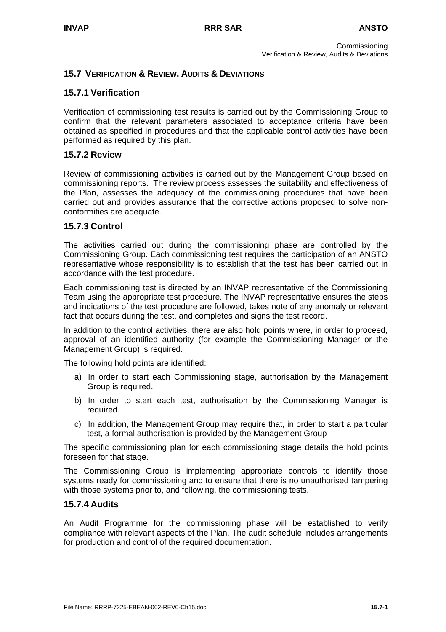## **15.7 VERIFICATION & REVIEW, AUDITS & DEVIATIONS**

## **15.7.1 Verification**

Verification of commissioning test results is carried out by the Commissioning Group to confirm that the relevant parameters associated to acceptance criteria have been obtained as specified in procedures and that the applicable control activities have been performed as required by this plan.

## **15.7.2 Review**

Review of commissioning activities is carried out by the Management Group based on commissioning reports. The review process assesses the suitability and effectiveness of the Plan, assesses the adequacy of the commissioning procedures that have been carried out and provides assurance that the corrective actions proposed to solve nonconformities are adequate.

## **15.7.3 Control**

The activities carried out during the commissioning phase are controlled by the Commissioning Group. Each commissioning test requires the participation of an ANSTO representative whose responsibility is to establish that the test has been carried out in accordance with the test procedure.

Each commissioning test is directed by an INVAP representative of the Commissioning Team using the appropriate test procedure. The INVAP representative ensures the steps and indications of the test procedure are followed, takes note of any anomaly or relevant fact that occurs during the test, and completes and signs the test record.

In addition to the control activities, there are also hold points where, in order to proceed, approval of an identified authority (for example the Commissioning Manager or the Management Group) is required.

The following hold points are identified:

- a) In order to start each Commissioning stage, authorisation by the Management Group is required.
- b) In order to start each test, authorisation by the Commissioning Manager is required.
- c) In addition, the Management Group may require that, in order to start a particular test, a formal authorisation is provided by the Management Group

The specific commissioning plan for each commissioning stage details the hold points foreseen for that stage.

The Commissioning Group is implementing appropriate controls to identify those systems ready for commissioning and to ensure that there is no unauthorised tampering with those systems prior to, and following, the commissioning tests.

#### **15.7.4 Audits**

An Audit Programme for the commissioning phase will be established to verify compliance with relevant aspects of the Plan. The audit schedule includes arrangements for production and control of the required documentation.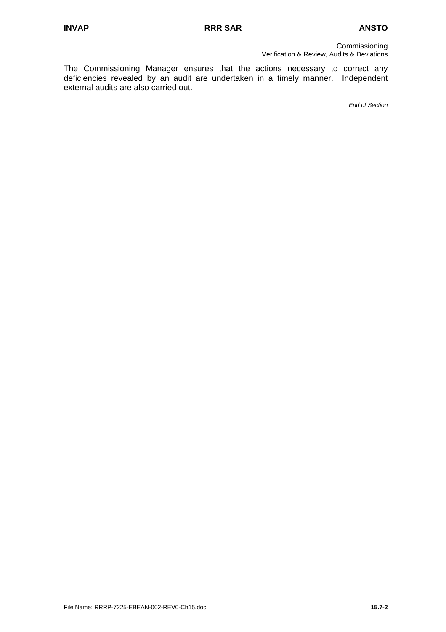The Commissioning Manager ensures that the actions necessary to correct any deficiencies revealed by an audit are undertaken in a timely manner. Independent external audits are also carried out.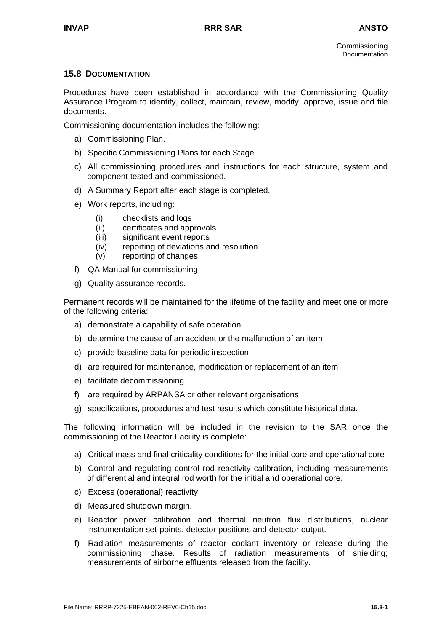## **15.8 DOCUMENTATION**

Procedures have been established in accordance with the Commissioning Quality Assurance Program to identify, collect, maintain, review, modify, approve, issue and file documents.

Commissioning documentation includes the following:

- a) Commissioning Plan.
- b) Specific Commissioning Plans for each Stage
- c) All commissioning procedures and instructions for each structure, system and component tested and commissioned.
- d) A Summary Report after each stage is completed.
- e) Work reports, including:
	- (i) checklists and logs
	- (ii) certificates and approvals
	- (iii) significant event reports
	- (iv) reporting of deviations and resolution
	- (v) reporting of changes
- f) QA Manual for commissioning.
- g) Quality assurance records.

Permanent records will be maintained for the lifetime of the facility and meet one or more of the following criteria:

- a) demonstrate a capability of safe operation
- b) determine the cause of an accident or the malfunction of an item
- c) provide baseline data for periodic inspection
- d) are required for maintenance, modification or replacement of an item
- e) facilitate decommissioning
- f) are required by ARPANSA or other relevant organisations
- g) specifications, procedures and test results which constitute historical data.

The following information will be included in the revision to the SAR once the commissioning of the Reactor Facility is complete:

- a) Critical mass and final criticality conditions for the initial core and operational core
- b) Control and regulating control rod reactivity calibration, including measurements of differential and integral rod worth for the initial and operational core.
- c) Excess (operational) reactivity.
- d) Measured shutdown margin.
- e) Reactor power calibration and thermal neutron flux distributions, nuclear instrumentation set-points, detector positions and detector output.
- f) Radiation measurements of reactor coolant inventory or release during the commissioning phase. Results of radiation measurements of shielding; measurements of airborne effluents released from the facility.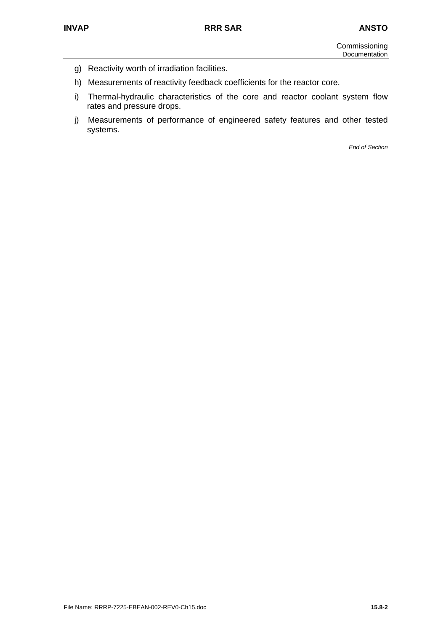- g) Reactivity worth of irradiation facilities.
- h) Measurements of reactivity feedback coefficients for the reactor core.
- i) Thermal-hydraulic characteristics of the core and reactor coolant system flow rates and pressure drops.
- j) Measurements of performance of engineered safety features and other tested systems.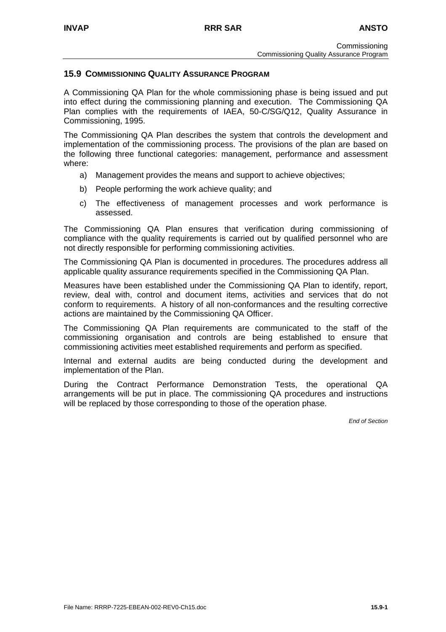## **15.9 COMMISSIONING QUALITY ASSURANCE PROGRAM**

A Commissioning QA Plan for the whole commissioning phase is being issued and put into effect during the commissioning planning and execution. The Commissioning QA Plan complies with the requirements of IAEA, 50-C/SG/Q12, Quality Assurance in Commissioning, 1995.

The Commissioning QA Plan describes the system that controls the development and implementation of the commissioning process. The provisions of the plan are based on the following three functional categories: management, performance and assessment where:

- a) Management provides the means and support to achieve objectives;
- b) People performing the work achieve quality; and
- c) The effectiveness of management processes and work performance is assessed.

The Commissioning QA Plan ensures that verification during commissioning of compliance with the quality requirements is carried out by qualified personnel who are not directly responsible for performing commissioning activities.

The Commissioning QA Plan is documented in procedures. The procedures address all applicable quality assurance requirements specified in the Commissioning QA Plan.

Measures have been established under the Commissioning QA Plan to identify, report, review, deal with, control and document items, activities and services that do not conform to requirements. A history of all non-conformances and the resulting corrective actions are maintained by the Commissioning QA Officer.

The Commissioning QA Plan requirements are communicated to the staff of the commissioning organisation and controls are being established to ensure that commissioning activities meet established requirements and perform as specified.

Internal and external audits are being conducted during the development and implementation of the Plan.

During the Contract Performance Demonstration Tests, the operational QA arrangements will be put in place. The commissioning QA procedures and instructions will be replaced by those corresponding to those of the operation phase.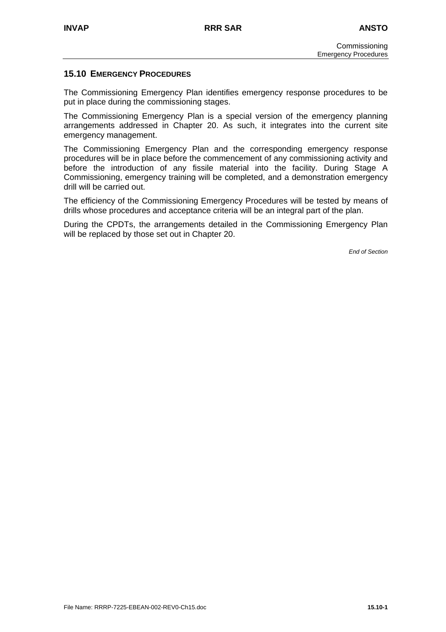## **15.10 EMERGENCY PROCEDURES**

The Commissioning Emergency Plan identifies emergency response procedures to be put in place during the commissioning stages.

The Commissioning Emergency Plan is a special version of the emergency planning arrangements addressed in Chapter 20. As such, it integrates into the current site emergency management.

The Commissioning Emergency Plan and the corresponding emergency response procedures will be in place before the commencement of any commissioning activity and before the introduction of any fissile material into the facility. During Stage A Commissioning, emergency training will be completed, and a demonstration emergency drill will be carried out.

The efficiency of the Commissioning Emergency Procedures will be tested by means of drills whose procedures and acceptance criteria will be an integral part of the plan.

During the CPDTs, the arrangements detailed in the Commissioning Emergency Plan will be replaced by those set out in Chapter 20.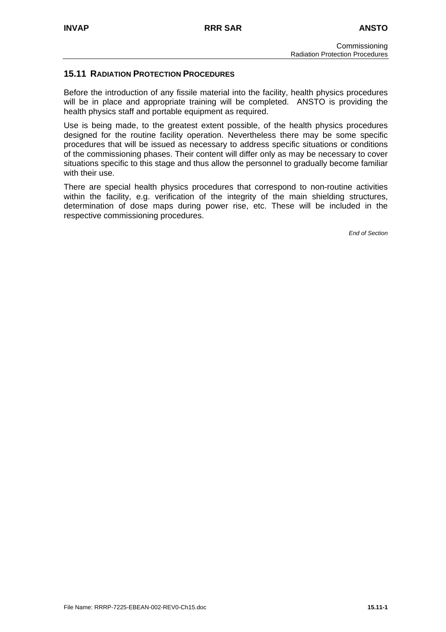## **15.11 RADIATION PROTECTION PROCEDURES**

Before the introduction of any fissile material into the facility, health physics procedures will be in place and appropriate training will be completed. ANSTO is providing the health physics staff and portable equipment as required.

Use is being made, to the greatest extent possible, of the health physics procedures designed for the routine facility operation. Nevertheless there may be some specific procedures that will be issued as necessary to address specific situations or conditions of the commissioning phases. Their content will differ only as may be necessary to cover situations specific to this stage and thus allow the personnel to gradually become familiar with their use.

There are special health physics procedures that correspond to non-routine activities within the facility, e.g. verification of the integrity of the main shielding structures, determination of dose maps during power rise, etc. These will be included in the respective commissioning procedures.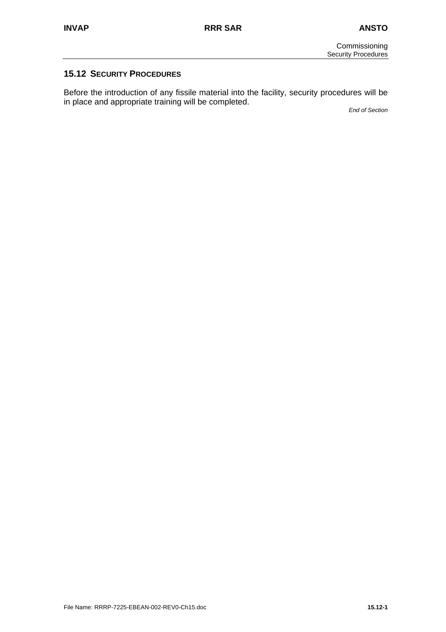## **15.12 SECURITY PROCEDURES**

Before the introduction of any fissile material into the facility, security procedures will be in place and appropriate training will be completed.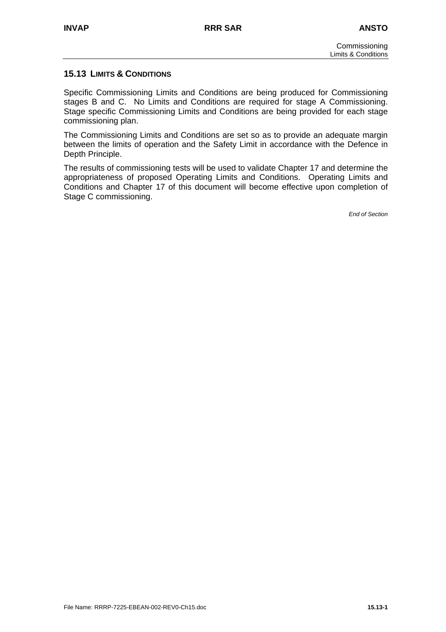## **15.13 LIMITS & CONDITIONS**

Specific Commissioning Limits and Conditions are being produced for Commissioning stages B and C. No Limits and Conditions are required for stage A Commissioning. Stage specific Commissioning Limits and Conditions are being provided for each stage commissioning plan.

The Commissioning Limits and Conditions are set so as to provide an adequate margin between the limits of operation and the Safety Limit in accordance with the Defence in Depth Principle.

The results of commissioning tests will be used to validate Chapter 17 and determine the appropriateness of proposed Operating Limits and Conditions. Operating Limits and Conditions and Chapter 17 of this document will become effective upon completion of Stage C commissioning.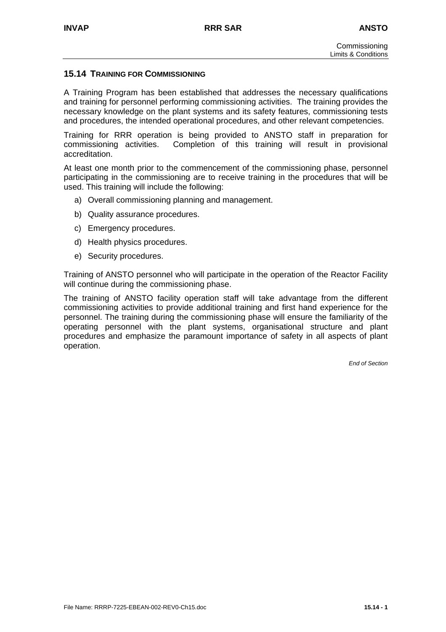#### **15.14 TRAINING FOR COMMISSIONING**

A Training Program has been established that addresses the necessary qualifications and training for personnel performing commissioning activities. The training provides the necessary knowledge on the plant systems and its safety features, commissioning tests and procedures, the intended operational procedures, and other relevant competencies.

Training for RRR operation is being provided to ANSTO staff in preparation for commissioning activities. Completion of this training will result in provisional accreditation.

At least one month prior to the commencement of the commissioning phase, personnel participating in the commissioning are to receive training in the procedures that will be used. This training will include the following:

- a) Overall commissioning planning and management.
- b) Quality assurance procedures.
- c) Emergency procedures.
- d) Health physics procedures.
- e) Security procedures.

Training of ANSTO personnel who will participate in the operation of the Reactor Facility will continue during the commissioning phase.

The training of ANSTO facility operation staff will take advantage from the different commissioning activities to provide additional training and first hand experience for the personnel. The training during the commissioning phase will ensure the familiarity of the operating personnel with the plant systems, organisational structure and plant procedures and emphasize the paramount importance of safety in all aspects of plant operation.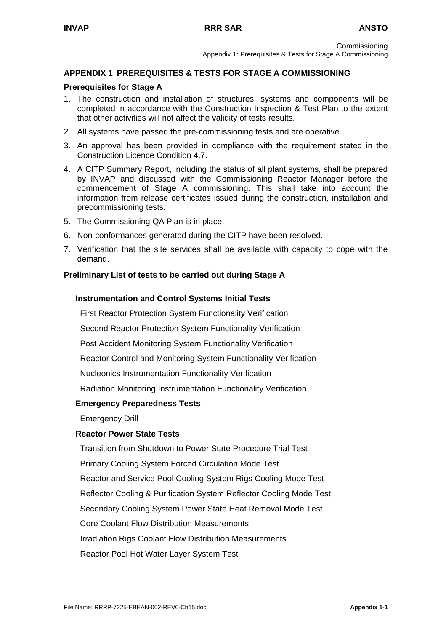## **APPENDIX 1 PREREQUISITES & TESTS FOR STAGE A COMMISSIONING**

#### **Prerequisites for Stage A**

- 1. The construction and installation of structures, systems and components will be completed in accordance with the Construction Inspection & Test Plan to the extent that other activities will not affect the validity of tests results.
- 2. All systems have passed the pre-commissioning tests and are operative.
- 3. An approval has been provided in compliance with the requirement stated in the Construction Licence Condition 4.7.
- 4. A CITP Summary Report, including the status of all plant systems, shall be prepared by INVAP and discussed with the Commissioning Reactor Manager before the commencement of Stage A commissioning. This shall take into account the information from release certificates issued during the construction, installation and precommissioning tests.
- 5. The Commissioning QA Plan is in place.
- 6. Non-conformances generated during the CITP have been resolved.
- 7. Verification that the site services shall be available with capacity to cope with the demand.

#### **Preliminary List of tests to be carried out during Stage A**

#### **Instrumentation and Control Systems Initial Tests**

First Reactor Protection System Functionality Verification

Second Reactor Protection System Functionality Verification

Post Accident Monitoring System Functionality Verification

Reactor Control and Monitoring System Functionality Verification

Nucleonics Instrumentation Functionality Verification

Radiation Monitoring Instrumentation Functionality Verification

#### **Emergency Preparedness Tests**

Emergency Drill

#### **Reactor Power State Tests**

 Transition from Shutdown to Power State Procedure Trial Test Primary Cooling System Forced Circulation Mode Test Reactor and Service Pool Cooling System Rigs Cooling Mode Test Reflector Cooling & Purification System Reflector Cooling Mode Test Secondary Cooling System Power State Heat Removal Mode Test Core Coolant Flow Distribution Measurements Irradiation Rigs Coolant Flow Distribution Measurements Reactor Pool Hot Water Layer System Test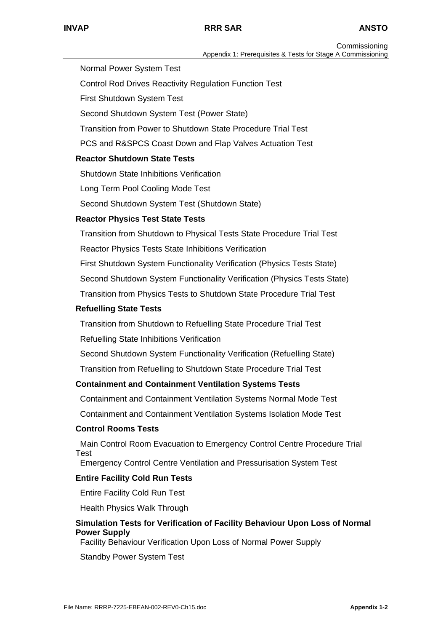Normal Power System Test

Control Rod Drives Reactivity Regulation Function Test

First Shutdown System Test

Second Shutdown System Test (Power State)

Transition from Power to Shutdown State Procedure Trial Test

PCS and R&SPCS Coast Down and Flap Valves Actuation Test

## **Reactor Shutdown State Tests**

Shutdown State Inhibitions Verification

Long Term Pool Cooling Mode Test

Second Shutdown System Test (Shutdown State)

## **Reactor Physics Test State Tests**

Transition from Shutdown to Physical Tests State Procedure Trial Test

Reactor Physics Tests State Inhibitions Verification

First Shutdown System Functionality Verification (Physics Tests State)

Second Shutdown System Functionality Verification (Physics Tests State)

Transition from Physics Tests to Shutdown State Procedure Trial Test

## **Refuelling State Tests**

Transition from Shutdown to Refuelling State Procedure Trial Test

Refuelling State Inhibitions Verification

Second Shutdown System Functionality Verification (Refuelling State)

Transition from Refuelling to Shutdown State Procedure Trial Test

## **Containment and Containment Ventilation Systems Tests**

Containment and Containment Ventilation Systems Normal Mode Test

Containment and Containment Ventilation Systems Isolation Mode Test

#### **Control Rooms Tests**

 Main Control Room Evacuation to Emergency Control Centre Procedure Trial Test

Emergency Control Centre Ventilation and Pressurisation System Test

#### **Entire Facility Cold Run Tests**

Entire Facility Cold Run Test

Health Physics Walk Through

## **Simulation Tests for Verification of Facility Behaviour Upon Loss of Normal Power Supply**

Facility Behaviour Verification Upon Loss of Normal Power Supply

Standby Power System Test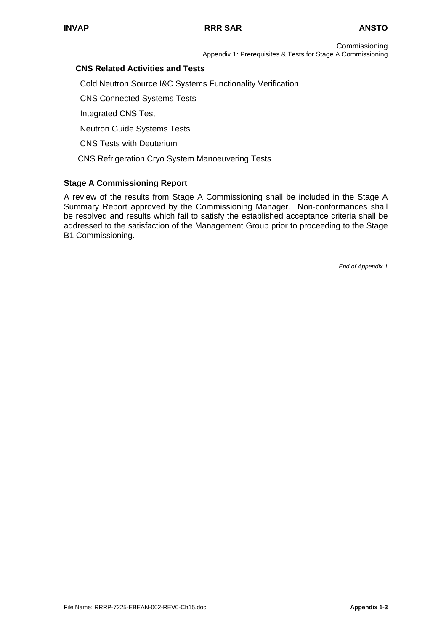## **CNS Related Activities and Tests**

Cold Neutron Source I&C Systems Functionality Verification

CNS Connected Systems Tests

Integrated CNS Test

Neutron Guide Systems Tests

CNS Tests with Deuterium

CNS Refrigeration Cryo System Manoeuvering Tests

## **Stage A Commissioning Report**

A review of the results from Stage A Commissioning shall be included in the Stage A Summary Report approved by the Commissioning Manager. Non-conformances shall be resolved and results which fail to satisfy the established acceptance criteria shall be addressed to the satisfaction of the Management Group prior to proceeding to the Stage B1 Commissioning.

*End of Appendix 1*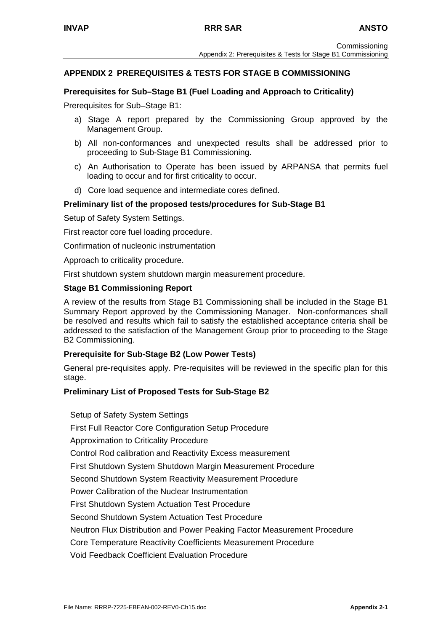## **APPENDIX 2 PREREQUISITES & TESTS FOR STAGE B COMMISSIONING**

#### **Prerequisites for Sub–Stage B1 (Fuel Loading and Approach to Criticality)**

Prerequisites for Sub–Stage B1:

- a) Stage A report prepared by the Commissioning Group approved by the Management Group.
- b) All non-conformances and unexpected results shall be addressed prior to proceeding to Sub-Stage B1 Commissioning.
- c) An Authorisation to Operate has been issued by ARPANSA that permits fuel loading to occur and for first criticality to occur.
- d) Core load sequence and intermediate cores defined.

#### **Preliminary list of the proposed tests/procedures for Sub-Stage B1**

Setup of Safety System Settings.

First reactor core fuel loading procedure.

Confirmation of nucleonic instrumentation

Approach to criticality procedure.

First shutdown system shutdown margin measurement procedure.

#### **Stage B1 Commissioning Report**

A review of the results from Stage B1 Commissioning shall be included in the Stage B1 Summary Report approved by the Commissioning Manager. Non-conformances shall be resolved and results which fail to satisfy the established acceptance criteria shall be addressed to the satisfaction of the Management Group prior to proceeding to the Stage B2 Commissioning.

#### **Prerequisite for Sub-Stage B2 (Low Power Tests)**

General pre-requisites apply. Pre-requisites will be reviewed in the specific plan for this stage.

#### **Preliminary List of Proposed Tests for Sub-Stage B2**

Setup of Safety System Settings First Full Reactor Core Configuration Setup Procedure Approximation to Criticality Procedure Control Rod calibration and Reactivity Excess measurement First Shutdown System Shutdown Margin Measurement Procedure Second Shutdown System Reactivity Measurement Procedure Power Calibration of the Nuclear Instrumentation First Shutdown System Actuation Test Procedure Second Shutdown System Actuation Test Procedure Neutron Flux Distribution and Power Peaking Factor Measurement Procedure Core Temperature Reactivity Coefficients Measurement Procedure Void Feedback Coefficient Evaluation Procedure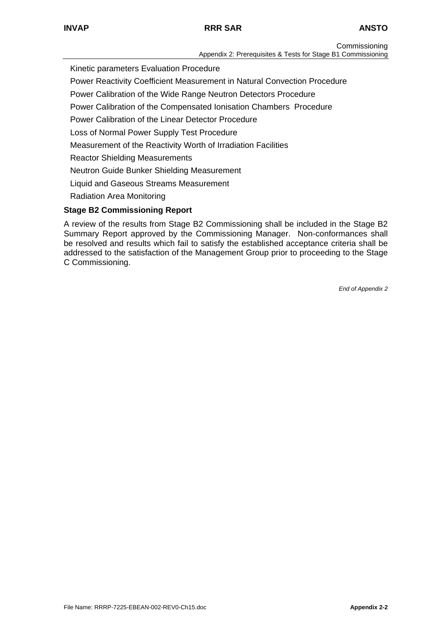**Commissioning** Appendix 2: Prerequisites & Tests for Stage B1 Commissioning

Kinetic parameters Evaluation Procedure

Power Reactivity Coefficient Measurement in Natural Convection Procedure

Power Calibration of the Wide Range Neutron Detectors Procedure

Power Calibration of the Compensated Ionisation Chambers Procedure

Power Calibration of the Linear Detector Procedure

Loss of Normal Power Supply Test Procedure

Measurement of the Reactivity Worth of Irradiation Facilities

Reactor Shielding Measurements

Neutron Guide Bunker Shielding Measurement

Liquid and Gaseous Streams Measurement

Radiation Area Monitoring

## **Stage B2 Commissioning Report**

A review of the results from Stage B2 Commissioning shall be included in the Stage B2 Summary Report approved by the Commissioning Manager. Non-conformances shall be resolved and results which fail to satisfy the established acceptance criteria shall be addressed to the satisfaction of the Management Group prior to proceeding to the Stage C Commissioning.

*End of Appendix 2*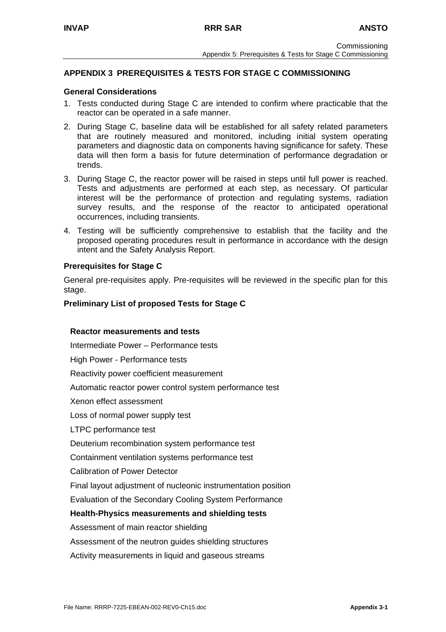## **APPENDIX 3 PREREQUISITES & TESTS FOR STAGE C COMMISSIONING**

#### **General Considerations**

- 1. Tests conducted during Stage C are intended to confirm where practicable that the reactor can be operated in a safe manner.
- 2. During Stage C, baseline data will be established for all safety related parameters that are routinely measured and monitored, including initial system operating parameters and diagnostic data on components having significance for safety. These data will then form a basis for future determination of performance degradation or trends.
- 3. During Stage C, the reactor power will be raised in steps until full power is reached. Tests and adjustments are performed at each step, as necessary. Of particular interest will be the performance of protection and regulating systems, radiation survey results, and the response of the reactor to anticipated operational occurrences, including transients.
- 4. Testing will be sufficiently comprehensive to establish that the facility and the proposed operating procedures result in performance in accordance with the design intent and the Safety Analysis Report.

#### **Prerequisites for Stage C**

General pre-requisites apply. Pre-requisites will be reviewed in the specific plan for this stage.

#### **Preliminary List of proposed Tests for Stage C**

#### **Reactor measurements and tests**

Intermediate Power – Performance tests High Power - Performance tests Reactivity power coefficient measurement Automatic reactor power control system performance test Xenon effect assessment Loss of normal power supply test LTPC performance test Deuterium recombination system performance test Containment ventilation systems performance test Calibration of Power Detector Final layout adjustment of nucleonic instrumentation position Evaluation of the Secondary Cooling System Performance **Health-Physics measurements and shielding tests**  Assessment of main reactor shielding Assessment of the neutron guides shielding structures Activity measurements in liquid and gaseous streams